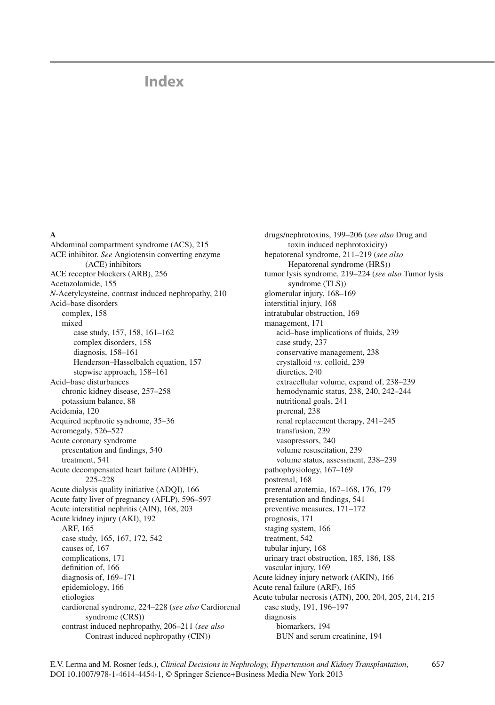# **Index**

#### **A**

Abdominal compartment syndrome (ACS), 215 ACE inhibitor. *See* Angiotensin converting enzyme (ACE) inhibitors ACE receptor blockers (ARB), 256 Acetazolamide, 155 *N*-Acetylcysteine, contrast induced nephropathy, 210 Acid–base disorders complex, 158 mixed case study, 157, 158, 161-162 complex disorders, 158 diagnosis, 158-161 Henderson-Hasselbalch equation, 157 stepwise approach, 158–161 Acid–base disturbances chronic kidney disease, 257-258 potassium balance, 88 Acidemia, 120 Acquired nephrotic syndrome, 35-36 Acromegaly, 526-527 Acute coronary syndrome presentation and findings, 540 treatment, 541 Acute decompensated heart failure (ADHF), 225–228 Acute dialysis quality initiative (ADQI), 166 Acute fatty liver of pregnancy (AFLP), 596-597 Acute interstitial nephritis (AIN), 168, 203 Acute kidney injury (AKI), 192 ARF, 165 case study, 165, 167, 172, 542 causes of, 167 complications, 171 definition of, 166 diagnosis of, 169-171 epidemiology, 166 etiologies cardiorenal syndrome, 224-228 (see also Cardiorenal syndrome (CRS)) contrast induced nephropathy, 206-211 (see also Contrast induced nephropathy (CIN))

drugs/nephrotoxins, 199-206 (see also Drug and toxin induced nephrotoxicity) hepatorenal syndrome, 211-219 (see also Hepatorenal syndrome (HRS)) tumor lysis syndrome, 219-224 (see also Tumor lysis syndrome (TLS)) glomerular injury, 168-169 interstitial injury, 168 intratubular obstruction, 169 management, 171 acid-base implications of fluids, 239 case study, 237 conservative management, 238 crystalloid vs. colloid, 239 diuretics, 240 extracellular volume, expand of, 238-239 hemodynamic status, 238, 240, 242-244 nutritional goals, 241 prerenal, 238 renal replacement therapy, 241-245 transfusion, 239 vasopressors, 240 volume resuscitation, 239 volume status, assessment, 238-239 pathophysiology, 167-169 postrenal, 168 prerenal azotemia, 167-168, 176, 179 presentation and findings, 541 preventive measures, 171-172 prognosis, 171 staging system, 166 treatment, 542 tubular injury, 168 urinary tract obstruction, 185, 186, 188 vascular injury, 169 Acute kidney injury network (AKIN), 166 Acute renal failure (ARF), 165 Acute tubular necrosis (ATN), 200, 204, 205, 214, 215 case study, 191, 196-197 diagnosis biomarkers, 194 BUN and serum creatinine, 194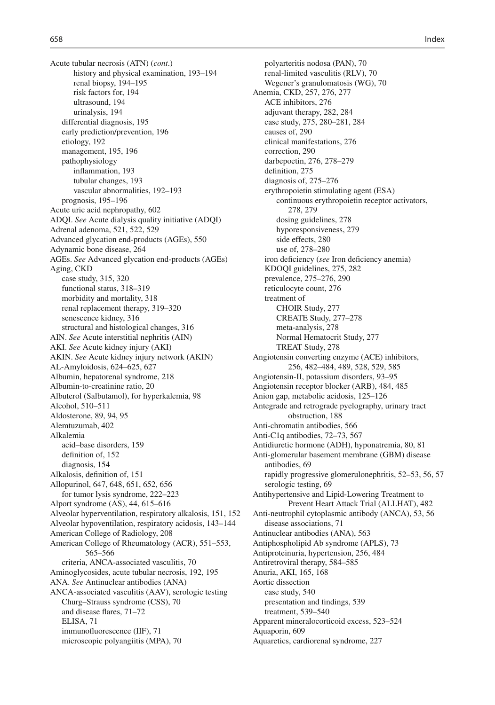Acute tubular necrosis (ATN) (*cont*.) history and physical examination, 193–194 renal biopsy, 194-195 risk factors for, 194 ultrasound , 194 urinalysis, 194 differential diagnosis, 195 early prediction/prevention, 196 etiology, 192 management, 195, 196 pathophysiology inflammation, 193 tubular changes, 193 vascular abnormalities, 192-193 prognosis, 195-196 Acute uric acid nephropathy, 602 ADQI. *See* Acute dialysis quality initiative (ADQI) Adrenal adenoma, 521, 522, 529 Advanced glycation end-products (AGEs), 550 Adynamic bone disease, 264 AGEs. *See* Advanced glycation end-products (AGEs) Aging, CKD case study, 315, 320 functional status, 318-319 morbidity and mortality, 318 renal replacement therapy, 319-320 senescence kidney, 316 structural and histological changes, 316 AIN. *See* Acute interstitial nephritis (AIN) AKI. *See* Acute kidney injury (AKI) AKIN. *See* Acute kidney injury network (AKIN) AL-Amyloidosis , 624–625, 627 Albumin, hepatorenal syndrome, 218 Albumin-to-creatinine ratio, 20 Albuterol (Salbutamol), for hyperkalemia, 98 Alcohol, 510-511 Aldosterone, 89, 94, 95 Alemtuzumab, 402 Alkalemia acid-base disorders, 159 definition of, 152 diagnosis, 154 Alkalosis, definition of, 151 Allopurinol , 647, 648, 651, 652, 656 for tumor lysis syndrome, 222-223 Alport syndrome (AS), 44, 615–616 Alveolar hyperventilation, respiratory alkalosis, 151, 152 Alveolar hypoventilation, respiratory acidosis, 143-144 American College of Radiology, 208 American College of Rheumatology (ACR), 551-553, 565–566 criteria, ANCA-associated vasculitis, 70 Aminoglycosides, acute tubular necrosis, 192, 195 ANA. *See* Antinuclear antibodies (ANA) ANCA-associated vasculitis (AAV), serologic testing Churg–Strauss syndrome (CSS), 70 and disease flares, 71-72 ELISA, 71 immuno fluorescence (IIF), 71 microscopic polyangiitis (MPA), 70

polyarteritis nodosa (PAN), 70 renal-limited vasculitis (RLV), 70 Wegener's granulomatosis (WG), 70 Anemia, CKD, 257, 276, 277 ACE inhibitors, 276 adjuvant therapy, 282, 284 case study, 275, 280-281, 284 causes of, 290 clinical manifestations, 276 correction, 290 darbepoetin, 276, 278–279 definition, 275 diagnosis of,  $275-276$  erythropoietin stimulating agent (ESA) continuous erythropoietin receptor activators, 278, 279 dosing guidelines, 278 hyporesponsiveness, 279 side effects, 280 use of, 278-280 iron deficiency (see Iron deficiency anemia) KDOQI guidelines, 275, 282 prevalence , 275–276, 290 reticulocyte count, 276 treatment of CHOIR Study, 277 CREATE Study, 277-278 meta-analysis, 278 Normal Hematocrit Study, 277 TREAT Study, 278 Angiotensin converting enzyme (ACE) inhibitors, 256, 482–484, 489, 528, 529, 585 Angiotensin-II, potassium disorders, 93-95 Angiotensin receptor blocker (ARB), 484, 485 Anion gap, metabolic acidosis, 125–126 Antegrade and retrograde pyelography, urinary tract obstruction, 188 Anti-chromatin antibodies, 566 Anti-C1q antibodies, 72-73, 567 Antidiuretic hormone (ADH), hyponatremia, 80, 81 Anti-glomerular basement membrane (GBM) disease antibodies, 69 rapidly progressive glomerulonephritis, 52–53, 56, 57 serologic testing, 69 Antihypertensive and Lipid-Lowering Treatment to Prevent Heart Attack Trial (ALLHAT), 482 Anti-neutrophil cytoplasmic antibody (ANCA), 53, 56 disease associations, 71 Antinuclear antibodies (ANA), 563 Antiphospholipid Ab syndrome (APLS), 73 Antiproteinuria, hypertension, 256, 484 Antiretroviral therapy, 584-585 Anuria, AKI, 165, 168 Aortic dissection case study, 540 presentation and findings, 539 treatment, 539-540 Apparent mineralocorticoid excess, 523-524 Aquaporin, 609 Aquaretics, cardiorenal syndrome, 227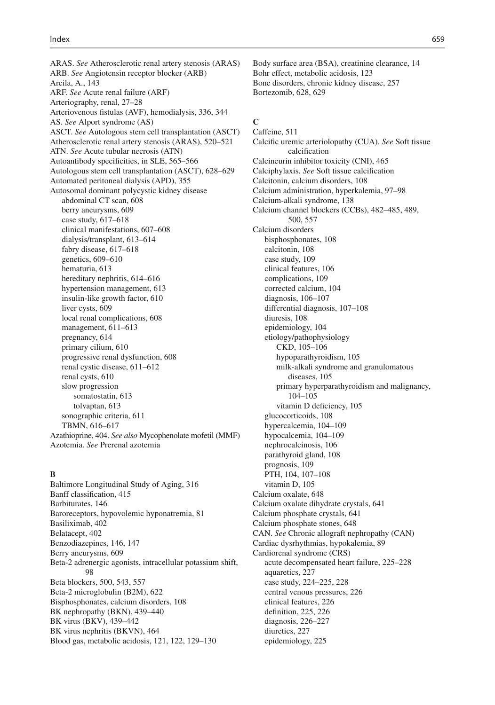ARAS. *See* Atherosclerotic renal artery stenosis (ARAS) ARB. *See* Angiotensin receptor blocker (ARB) Arcila, A. , 143 ARF. *See* Acute renal failure (ARF) Arteriography, renal, 27-28 Arteriovenous fistulas (AVF), hemodialysis, 336, 344 AS. *See* Alport syndrome (AS) ASCT. *See* Autologous stem cell transplantation (ASCT) Atherosclerotic renal artery stenosis (ARAS), 520-521 ATN. *See* Acute tubular necrosis (ATN) Autoantibody specificities, in SLE, 565–566 Autologous stem cell transplantation (ASCT), 628-629 Automated peritoneal dialysis (APD), 355 Autosomal dominant polycystic kidney disease abdominal CT scan, 608 berry aneurysms, 609 case study,  $617-618$ clinical manifestations, 607-608 dialysis/transplant, 613-614 fabry disease, 617–618 genetics , 609–610 hematuria, 613 hereditary nephritis, 614–616 hypertension management, 613 insulin-like growth factor, 610 liver cysts, 609 local renal complications, 608 management,  $611-613$ pregnancy, 614 primary cilium, 610 progressive renal dysfunction, 608 renal cystic disease, 611-612 renal cysts, 610 slow progression somatostatin, 613 tolvaptan, 613 sonographic criteria, 611 TBMN, 616-617 Azathioprine , 404 . *See also* Mycophenolate mofetil (MMF) Azotemia. *See* Prerenal azotemia

#### **B**

Baltimore Longitudinal Study of Aging, 316 Banff classification, 415 Barbiturates, 146 Baroreceptors, hypovolemic hyponatremia, 81 Basiliximab, 402 Belatacept, 402 Benzodiazepines, 146, 147 Berry aneurysms, 609 Beta-2 adrenergic agonists, intracellular potassium shift, 98 Beta blockers, 500, 543, 557 Beta-2 microglobulin (B2M), 622 Bisphosphonates, calcium disorders, 108 BK nephropathy (BKN), 439-440 BK virus (BKV), 439-442 BK virus nephritis (BKVN), 464 Blood gas, metabolic acidosis, 121, 122, 129-130

Body surface area (BSA), creatinine clearance, 14 Bohr effect, metabolic acidosis, 123 Bone disorders, chronic kidney disease, 257 Bortezomib, 628, 629

### **C**

Caffeine, 511 Calcific uremic arteriolopathy (CUA). See Soft tissue calcification Calcineurin inhibitor toxicity (CNI), 465 Calciphylaxis. See Soft tissue calcification Calcitonin, calcium disorders, 108 Calcium administration, hyperkalemia, 97–98 Calcium-alkali syndrome, 138 Calcium channel blockers (CCBs), 482-485, 489, 500, 557 Calcium disorders bisphosphonates, 108 calcitonin, 108 case study, 109 clinical features, 106 complications, 109 corrected calcium, 104 diagnosis, 106-107 differential diagnosis, 107-108 diuresis, 108 epidemiology, 104 etiology/pathophysiology CKD, 105-106 hypoparathyroidism, 105 milk-alkali syndrome and granulomatous diseases, 105 primary hyperparathyroidism and malignancy, 104–105 vitamin D deficiency, 105 glucocorticoids, 108 hypercalcemia, 104-109 hypocalcemia, 104-109 nephrocalcinosis, 106 parathyroid gland, 108 prognosis, 109 PTH, 104, 107-108 vitamin D, 105 Calcium oxalate, 648 Calcium oxalate dihydrate crystals, 641 Calcium phosphate crystals, 641 Calcium phosphate stones, 648 CAN. *See* Chronic allograft nephropathy (CAN) Cardiac dysrhythmias, hypokalemia, 89 Cardiorenal syndrome (CRS) acute decompensated heart failure, 225-228 aquaretics, 227 case study, 224-225, 228 central venous pressures, 226 clinical features, 226 definition, 225, 226 diagnosis, 226-227 diuretics, 227 epidemiology, 225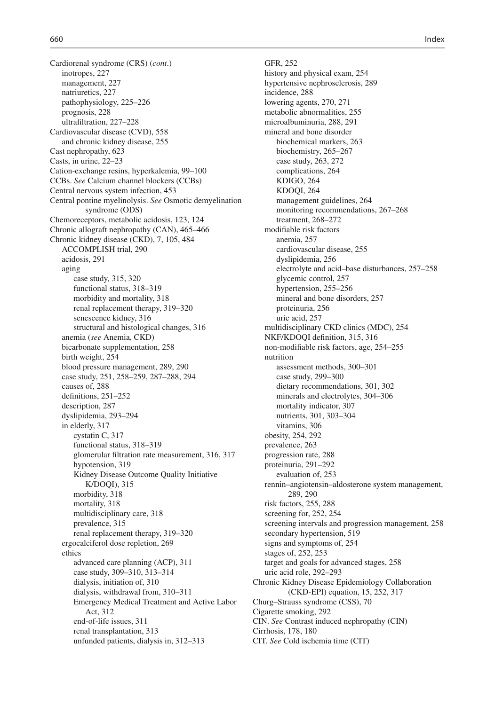Cardiorenal syndrome (CRS) (*cont*.) inotropes, 227 management, 227 natriuretics, 227 pathophysiology, 225-226 prognosis, 228 ultrafiltration, 227-228 Cardiovascular disease (CVD), 558 and chronic kidney disease, 255 Cast nephropathy, 623 Casts, in urine,  $22-23$ Cation-exchange resins, hyperkalemia, 99-100 CCBs. *See* Calcium channel blockers (CCBs) Central nervous system infection, 453 Central pontine myelinolysis. *See* Osmotic demyelination syndrome (ODS) Chemoreceptors, metabolic acidosis, 123, 124 Chronic allograft nephropathy (CAN), 465-466 Chronic kidney disease (CKD), 7, 105, 484 ACCOMPLISH trial, 290 acidosis, 291 aging case study, 315, 320 functional status, 318-319 morbidity and mortality, 318 renal replacement therapy, 319-320 senescence kidney, 316 structural and histological changes, 316 anemia ( *see* Anemia, CKD) bicarbonate supplementation, 258 birth weight, 254 blood pressure management, 289, 290 case study, 251, 258-259, 287-288, 294 causes of, 288 definitions, 251-252 description, 287 dyslipidemia, 293-294 in elderly, 317 cystatin C, 317 functional status, 318-319 glomerular filtration rate measurement, 316, 317 hypotension, 319 Kidney Disease Outcome Quality Initiative  $K/DOQI$ ), 315 morbidity, 318 mortality, 318 multidisciplinary care, 318 prevalence, 315 renal replacement therapy, 319–320 ergocalciferol dose repletion, 269 ethics advanced care planning (ACP), 311 case study, 309–310, 313–314 dialysis, initiation of, 310 dialysis, withdrawal from, 310-311 Emergency Medical Treatment and Active Labor Act, 312 end-of-life issues, 311 renal transplantation, 313 unfunded patients, dialysis in, 312–313

GFR, 252 history and physical exam, 254 hypertensive nephrosclerosis, 289 incidence, 288 lowering agents, 270, 271 metabolic abnormalities, 255 microalbuminuria, 288, 291 mineral and bone disorder biochemical markers, 263 biochemistry, 265-267 case study, 263, 272 complications, 264 KDIGO, 264 KDOQI, 264 management guidelines, 264 monitoring recommendations, 267-268 treatment, 268-272 modifiable risk factors anemia, 257 cardiovascular disease, 255 dyslipidemia, 256 electrolyte and acid–base disturbances, 257–258 glycemic control, 257 hypertension, 255-256 mineral and bone disorders, 257 proteinuria , 256 uric acid, 257 multidisciplinary CKD clinics (MDC), 254 NKF/KDOQI definition, 315, 316 non-modifiable risk factors, age, 254–255 nutrition assessment methods, 300-301 case study, 299-300 dietary recommendations, 301, 302 minerals and electrolytes, 304-306 mortality indicator, 307 nutrients, 301, 303-304 vitamins, 306 obesity, 254, 292 prevalence, 263 progression rate, 288 proteinuria, 291-292 evaluation of, 253 rennin–angiotensin–aldosterone system management, 289, 290 risk factors, 255, 288 screening for, 252, 254 screening intervals and progression management, 258 secondary hypertension, 519 signs and symptoms of, 254 stages of, 252, 253 target and goals for advanced stages, 258 uric acid role, 292–293 Chronic Kidney Disease Epidemiology Collaboration (CKD-EPI) equation, 15, 252, 317 Churg–Strauss syndrome (CSS), 70 Cigarette smoking, 292 CIN. *See* Contrast induced nephropathy (CIN) Cirrhosis, 178, 180 CIT. *See* Cold ischemia time (CIT)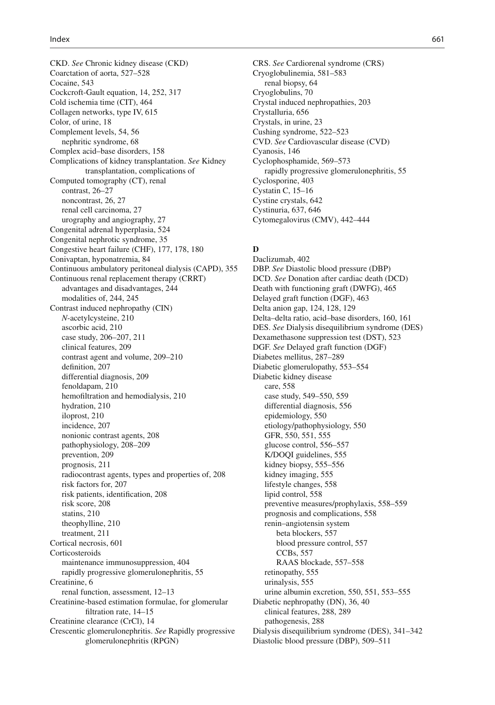CKD. *See* Chronic kidney disease (CKD) Coarctation of aorta, 527–528 Cocaine, 543 Cockcroft-Gault equation, 14, 252, 317 Cold ischemia time (CIT), 464 Collagen networks, type IV, 615 Color, of urine, 18 Complement levels, 54, 56 nephritic syndrome, 68 Complex acid-base disorders, 158 Complications of kidney transplantation. *See* Kidney transplantation, complications of Computed tomography (CT), renal contrast, 26–27 noncontrast, 26, 27 renal cell carcinoma, 27 urography and angiography, 27 Congenital adrenal hyperplasia, 524 Congenital nephrotic syndrome, 35 Congestive heart failure (CHF), 177, 178, 180 Conivaptan, hyponatremia, 84 Continuous ambulatory peritoneal dialysis (CAPD), 355 Continuous renal replacement therapy (CRRT) advantages and disadvantages, 244 modalities of, 244, 245 Contrast induced nephropathy (CIN) *N*-acetylcysteine, 210 ascorbic acid, 210 case study, 206–207, 211 clinical features, 209 contrast agent and volume, 209-210 definition, 207 differential diagnosis, 209 fenoldapam, 210 hemofiltration and hemodialysis, 210 hydration, 210 iloprost, 210 incidence, 207 nonionic contrast agents, 208 pathophysiology, 208-209 prevention, 209 prognosis, 211 radiocontrast agents, types and properties of, 208 risk factors for, 207 risk patients, identification, 208 risk score, 208 statins, 210 theophylline, 210 treatment, 211 Cortical necrosis, 601 Corticosteroids maintenance immunosuppression, 404 rapidly progressive glomerulonephritis, 55 Creatinine, 6 renal function, assessment, 12-13 Creatinine-based estimation formulae, for glomerular filtration rate, 14-15 Creatinine clearance (CrCl), 14 Crescentic glomerulonephritis. *See* Rapidly progressive glomerulonephritis (RPGN)

 CRS. *See* Cardiorenal syndrome (CRS) Cryoglobulinemia, 581-583 renal biopsy, 64 Cryoglobulins, 70 Crystal induced nephropathies, 203 Crystalluria, 656 Crystals, in urine, 23 Cushing syndrome, 522-523 CVD. *See* Cardiovascular disease (CVD) Cyanosis, 146 Cyclophosphamide, 569-573 rapidly progressive glomerulonephritis, 55 Cyclosporine, 403 Cystatin C,  $15-16$ Cystine crystals, 642 Cystinuria, 637, 646 Cytomegalovirus (CMV), 442-444

# **D**

Daclizumab, 402 DBP. *See* Diastolic blood pressure (DBP) DCD. *See* Donation after cardiac death (DCD) Death with functioning graft (DWFG), 465 Delayed graft function (DGF), 463 Delta anion gap, 124, 128, 129 Delta-delta ratio, acid-base disorders, 160, 161 DES. *See* Dialysis disequilibrium syndrome (DES) Dexamethasone suppression test (DST), 523 DGF. *See* Delayed graft function (DGF) Diabetes mellitus, 287-289 Diabetic glomerulopathy, 553–554 Diabetic kidney disease care, 558 case study, 549–550, 559 differential diagnosis, 556 epidemiology, 550 etiology/pathophysiology, 550 GFR, 550, 551, 555 glucose control, 556-557 K/DOQI guidelines, 555 kidney biopsy, 555–556 kidney imaging, 555 lifestyle changes, 558 lipid control, 558 preventive measures/prophylaxis , 558–559 prognosis and complications , 558 renin–angiotensin system beta blockers, 557 blood pressure control, 557 CCBs, 557 RAAS blockade, 557-558 retinopathy, 555 urinalysis, 555 urine albumin excretion, 550, 551, 553–555 Diabetic nephropathy (DN), 36, 40 clinical features, 288, 289 pathogenesis, 288 Dialysis disequilibrium syndrome (DES), 341-342 Diastolic blood pressure (DBP), 509-511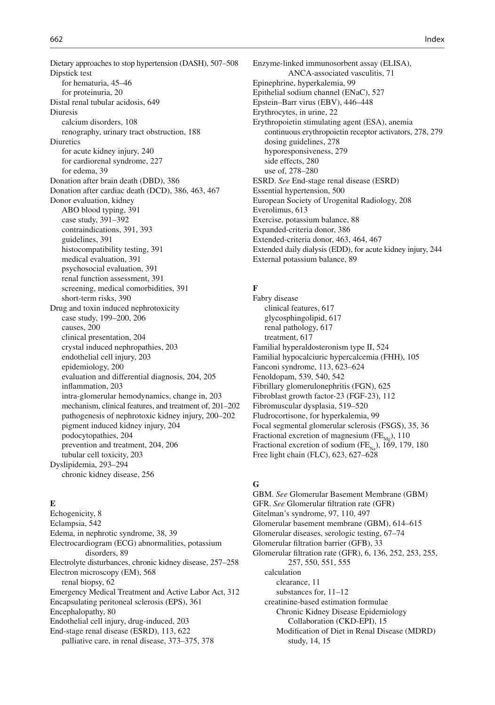Dietary approaches to stop hypertension (DASH), 507-508 Dipstick test for hematuria, 45-46 for proteinuria, 20 Distal renal tubular acidosis, 649 Diuresis calcium disorders, 108 renography, urinary tract obstruction, 188 Diuretics for acute kidney injury, 240 for cardiorenal syndrome, 227 for edema, 39 Donation after brain death (DBD), 386 Donation after cardiac death (DCD), 386, 463, 467 Donor evaluation, kidney ABO blood typing, 391 case study, 391-392 contraindications, 391, 393 guidelines, 391 histocompatibility testing, 391 medical evaluation, 391 psychosocial evaluation, 391 renal function assessment, 391 screening, medical comorbidities, 391 short-term risks, 390 Drug and toxin induced nephrotoxicity case study, 199-200, 206 causes, 200 clinical presentation, 204 crystal induced nephropathies, 203 endothelial cell injury, 203 epidemiology, 200 evaluation and differential diagnosis, 204, 205 inflammation, 203 intra-glomerular hemodynamics, change in, 203 mechanism, clinical features, and treatment of, 201-202 pathogenesis of nephrotoxic kidney injury , 200–202 pigment induced kidney injury, 204 podocytopathies, 204 prevention and treatment, 204, 206 tubular cell toxicity, 203 Dyslipidemia, 293-294 chronic kidney disease, 256

# **E**

Echogenicity, 8 Eclampsia, 542 Edema, in nephrotic syndrome, 38, 39 Electrocardiogram (ECG) abnormalities, potassium disorders, 89 Electrolyte disturbances, chronic kidney disease, 257-258 Electron microscopy (EM), 568 renal biopsy, 62 Emergency Medical Treatment and Active Labor Act, 312 Encapsulating peritoneal sclerosis (EPS), 361 Encephalopathy, 80 Endothelial cell injury, drug-induced, 203 End-stage renal disease (ESRD), 113, 622 palliative care, in renal disease, 373-375, 378

 Enzyme-linked immunosorbent assay (ELISA), ANCA-associated vasculitis, 71 Epinephrine, hyperkalemia, 99 Epithelial sodium channel (ENaC), 527 Epstein–Barr virus (EBV), 446–448 Erythrocytes, in urine, 22 Erythropoietin stimulating agent (ESA), anemia continuous erythropoietin receptor activators , 278, 279 dosing guidelines, 278 hyporesponsiveness, 279 side effects, 280 use of, 278-280 ESRD. *See* End-stage renal disease (ESRD) Essential hypertension, 500 European Society of Urogenital Radiology , 208 Everolimus, 613 Exercise, potassium balance, 88 Expanded-criteria donor, 386 Extended-criteria donor, 463, 464, 467 Extended daily dialysis (EDD), for acute kidney injury, 244 External potassium balance, 89

# **F**

 Fabry disease clinical features, 617 glycosphingolipid, 617 renal pathology, 617 treatment, 617 Familial hyperaldosteronism type II, 524 Familial hypocalciuric hypercalcemia (FHH), 105 Fanconi syndrome, 113, 623-624 Fenoldopam, 539, 540, 542 Fibrillary glomerulonephritis (FGN), 625 Fibroblast growth factor-23 (FGF-23), 112 Fibromuscular dysplasia, 519-520 Fludrocortisone, for hyperkalemia, 99 Focal segmental glomerular sclerosis (FSGS), 35, 36 Fractional excretion of magnesium  $(FE<sub>Me</sub>)$ , 110 Fractional excretion of sodium ( $FE_{N_0}$ ), 169, 179, 180 Free light chain (FLC), 623, 627–628

### **G**

 GBM. *See* Glomerular Basement Membrane (GBM) GFR. See Glomerular filtration rate (GFR) Gitelman's syndrome, 97, 110, 497 Glomerular basement membrane (GBM), 614-615 Glomerular diseases, serologic testing, 67–74 Glomerular filtration barrier (GFB), 33 Glomerular filtration rate (GFR), 6, 136, 252, 253, 255, 257, 550, 551, 555 calculation clearance, 11 substances for,  $11-12$  creatinine-based estimation formulae Chronic Kidney Disease Epidemiology Collaboration (CKD-EPI), 15 Modification of Diet in Renal Disease (MDRD) study, 14, 15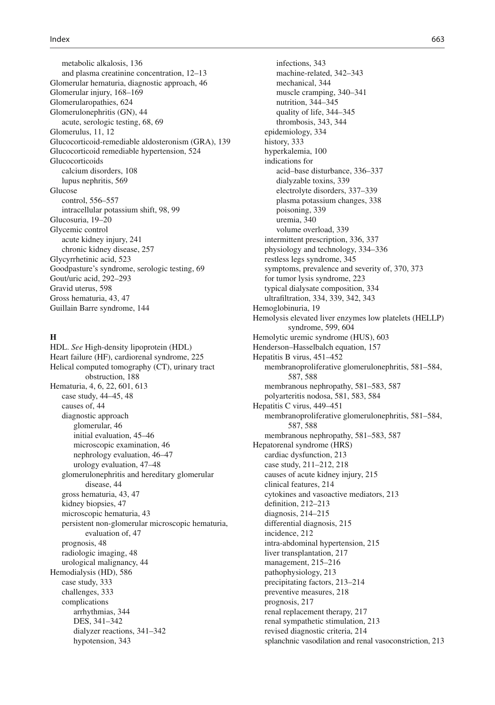metabolic alkalosis, 136 and plasma creatinine concentration, 12–13 Glomerular hematuria, diagnostic approach, 46 Glomerular injury, 168–169 Glomerularopathies, 624 Glomerulonephritis (GN), 44 acute, serologic testing, 68, 69 Glomerulus, 11, 12 Glucocorticoid-remediable aldosteronism (GRA), 139 Glucocorticoid remediable hypertension, 524 Glucocorticoids calcium disorders, 108 lupus nephritis, 569 Glucose control, 556-557 intracellular potassium shift, 98, 99 Glucosuria, 19-20 Glycemic control acute kidney injury, 241 chronic kidney disease, 257 Glycyrrhetinic acid, 523 Goodpasture's syndrome, serologic testing, 69 Gout/uric acid, 292-293 Gravid uterus, 598 Gross hematuria, 43, 47 Guillain Barre syndrome, 144

#### **H**

 HDL. *See* High-density lipoprotein (HDL) Heart failure (HF), cardiorenal syndrome, 225 Helical computed tomography (CT), urinary tract obstruction, 188 Hematuria, 4, 6, 22, 601, 613 case study, 44–45, 48 causes of, 44 diagnostic approach glomerular, 46 initial evaluation, 45-46 microscopic examination, 46 nephrology evaluation, 46–47 urology evaluation, 47-48 glomerulonephritis and hereditary glomerular disease, 44 gross hematuria, 43, 47 kidney biopsies, 47 microscopic hematuria, 43 persistent non-glomerular microscopic hematuria, evaluation of, 47 prognosis, 48 radiologic imaging, 48 urological malignancy, 44 Hemodialysis (HD), 586 case study, 333 challenges, 333 complications arrhythmias, 344 DES, 341-342 dialyzer reactions, 341-342 hypotension, 343

infections, 343 machine-related, 342-343 mechanical, 344 muscle cramping, 340–341 nutrition, 344-345 quality of life, 344-345 thrombosis, 343, 344 epidemiology, 334 history, 333 hyperkalemia, 100 indications for acid-base disturbance, 336-337 dialyzable toxins, 339 electrolyte disorders, 337–339 plasma potassium changes, 338 poisoning, 339 uremia, 340 volume overload, 339 intermittent prescription, 336, 337 physiology and technology , 334–336 restless legs syndrome, 345 symptoms, prevalence and severity of, 370, 373 for tumor lysis syndrome, 223 typical dialysate composition, 334 ultrafiltration, 334, 339, 342, 343 Hemoglobinuria, 19 Hemolysis elevated liver enzymes low platelets (HELLP) syndrome, 599, 604 Hemolytic uremic syndrome (HUS), 603 Henderson-Hasselbalch equation, 157 Hepatitis B virus, 451-452 membranoproliferative glomerulonephritis, 581-584, 587, 588 membranous nephropathy, 581-583, 587 polyarteritis nodosa , 581, 583, 584 Hepatitis C virus, 449-451 membranoproliferative glomerulonephritis, 581-584, 587, 588 membranous nephropathy, 581-583, 587 Hepatorenal syndrome (HRS) cardiac dysfunction, 213 case study, 211-212, 218 causes of acute kidney injury, 215 clinical features, 214 cytokines and vasoactive mediators, 213 definition, 212-213 diagnosis,  $214 - 215$ differential diagnosis, 215 incidence, 212 intra-abdominal hypertension, 215 liver transplantation, 217 management, 215-216 pathophysiology, 213 precipitating factors, 213-214 preventive measures, 218 prognosis, 217 renal replacement therapy, 217 renal sympathetic stimulation, 213 revised diagnostic criteria, 214 splanchnic vasodilation and renal vasoconstriction, 213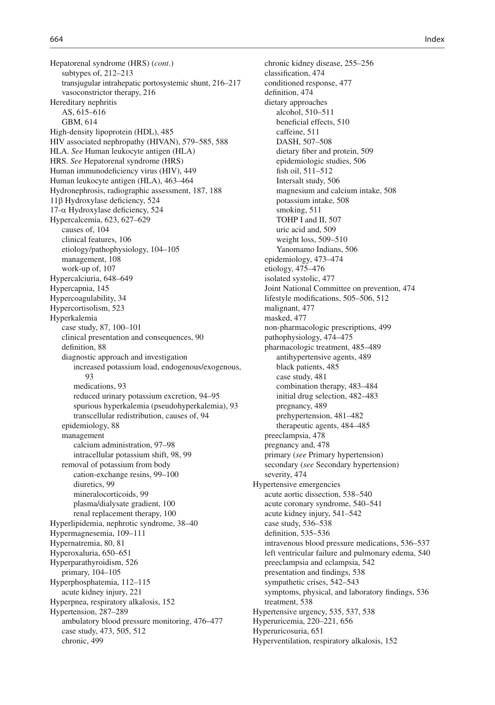Hepatorenal syndrome (HRS) (*cont*.) subtypes of,  $212-213$ transjugular intrahepatic portosystemic shunt, 216–217 vasoconstrictor therapy, 216 Hereditary nephritis AS , 615–616 GBM, 614 High-density lipoprotein (HDL), 485 HIV associated nephropathy (HIVAN), 579-585, 588 HLA. *See* Human leukocyte antigen (HLA) HRS. *See* Hepatorenal syndrome (HRS) Human immunodeficiency virus (HIV), 449 Human leukocyte antigen (HLA), 463–464 Hydronephrosis, radiographic assessment, 187, 188  $11\beta$  Hydroxylase deficiency, 524  $17$ - $\alpha$  Hydroxylase deficiency, 524 Hypercalcemia , 623, 627–629 causes of, 104 clinical features, 106 etiology/pathophysiology , 104–105 management, 108 work-up of, 107 Hypercalciuria , 648–649 Hypercapnia, 145 Hypercoagulability, 34 Hypercortisolism, 523 Hyperkalemia case study, 87, 100-101 clinical presentation and consequences, 90 definition, 88 diagnostic approach and investigation increased potassium load, endogenous/exogenous , 93 medications, 93 reduced urinary potassium excretion, 94–95 spurious hyperkalemia (pseudohyperkalemia), 93 transcellular redistribution, causes of, 94 epidemiology, 88 management calcium administration, 97-98 intracellular potassium shift, 98, 99 removal of potassium from body cation-exchange resins, 99-100 diuretics, 99 mineralocorticoids, 99 plasma/dialysate gradient, 100 renal replacement therapy, 100 Hyperlipidemia, nephrotic syndrome, 38-40 Hypermagnesemia, 109-111 Hypernatremia, 80, 81 Hyperoxaluria, 650-651 Hyperparathyroidism, 526 primary, 104–105 Hyperphosphatemia, 112-115 acute kidney injury, 221 Hyperpnea, respiratory alkalosis, 152 Hypertension, 287-289 ambulatory blood pressure monitoring, 476-477 case study, 473, 505, 512 chronic, 499

chronic kidney disease, 255-256 classification, 474 conditioned response, 477 definition, 474 dietary approaches alcohol, 510-511 beneficial effects, 510 caffeine, 511 DASH, 507-508 dietary fiber and protein, 509 epidemiologic studies, 506 fish oil, 511-512 Intersalt study, 506 magnesium and calcium intake, 508 potassium intake, 508 smoking, 511 TOHP I and II, 507 uric acid and, 509 weight loss, 509-510 Yanomamo Indians, 506 epidemiology , 473–474 etiology , 475–476 isolated systolic, 477 Joint National Committee on prevention, 474 lifestyle modifications, 505–506, 512 malignant, 477 masked, 477 non-pharmacologic prescriptions , 499 pathophysiology , 474–475 pharmacologic treatment, 485-489 antihypertensive agents, 489 black patients, 485 case study, 481 combination therapy, 483-484 initial drug selection, 482–483 pregnancy, 489 prehypertension, 481-482 therapeutic agents, 484–485 preeclampsia, 478 pregnancy and, 478 primary ( *see* Primary hypertension) secondary (see Secondary hypertension) severity, 474 Hypertensive emergencies acute aortic dissection, 538-540 acute coronary syndrome, 540-541 acute kidney injury, 541–542 case study, 536-538 definition,  $535-536$ intravenous blood pressure medications, 536–537 left ventricular failure and pulmonary edema, 540 preeclampsia and eclampsia, 542 presentation and findings, 538 sympathetic crises, 542-543 symptoms, physical, and laboratory findings, 536 treatment, 538 Hypertensive urgency, 535, 537, 538 Hyperuricemia , 220–221, 656 Hyperuricosuria, 651 Hyperventilation, respiratory alkalosis, 152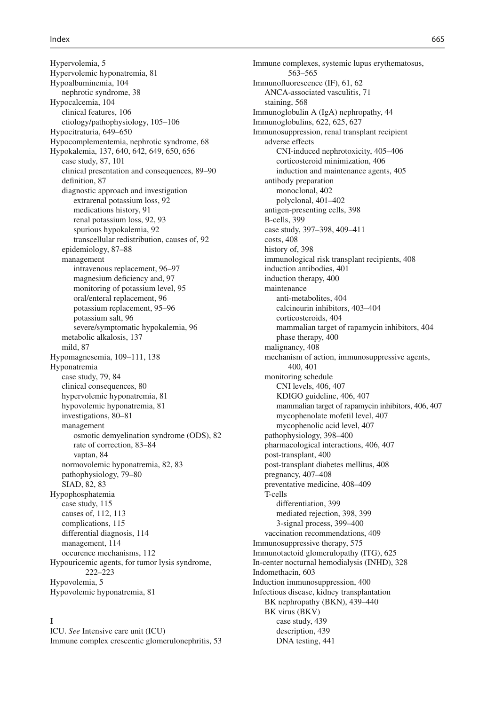Hypervolemia, 5 Hypervolemic hyponatremia , 81 Hypoalbuminemia, 104 nephrotic syndrome, 38 Hypocalcemia, 104 clinical features, 106 etiology/pathophysiology, 105-106 Hypocitraturia, 649-650 Hypocomplementemia, nephrotic syndrome, 68 Hypokalemia , 137, 640, 642, 649, 650, 656 case study,  $87, 101$  clinical presentation and consequences , 89–90 definition, 87 diagnostic approach and investigation extrarenal potassium loss, 92 medications history, 91 renal potassium loss, 92, 93 spurious hypokalemia, 92 transcellular redistribution, causes of, 92 epidemiology, 87-88 management intravenous replacement, 96-97 magnesium deficiency and, 97 monitoring of potassium level, 95 oral/enteral replacement, 96 potassium replacement, 95–96 potassium salt, 96 severe/symptomatic hypokalemia, 96 metabolic alkalosis, 137 mild, 87 Hypomagnesemia, 109-111, 138 Hyponatremia case study, 79, 84 clinical consequences, 80 hypervolemic hyponatremia, 81 hypovolemic hyponatremia, 81 investigations, 80–81 management osmotic demyelination syndrome (ODS), 82 rate of correction, 83-84 vaptan, 84 normovolemic hyponatremia, 82, 83 pathophysiology, 79-80 SIAD, 82, 83 Hypophosphatemia case study, 115 causes of, 112, 113 complications, 115 differential diagnosis, 114 management, 114 occurence mechanisms, 112 Hypouricemic agents, for tumor lysis syndrome, 222–223 Hypovolemia, 5 Hypovolemic hyponatremia, 81

# **I**

 ICU. *See* Intensive care unit (ICU) Immune complex crescentic glomerulonephritis, 53

Immune complexes, systemic lupus erythematosus, 563–565 Immunofluorescence (IF), 61, 62 ANCA-associated vasculitis, 71 staining, 568 Immunoglobulin A (IgA) nephropathy, 44 Immunoglobulins, 622, 625, 627 Immunosuppression, renal transplant recipient adverse effects CNI-induced nephrotoxicity, 405-406 corticosteroid minimization , 406 induction and maintenance agents, 405 antibody preparation monoclonal, 402 polyclonal, 401-402 antigen-presenting cells, 398 B-cells, 399 case study, 397-398, 409-411 costs, 408 history of, 398 immunological risk transplant recipients, 408 induction antibodies, 401 induction therapy, 400 maintenance anti-metabolites, 404 calcineurin inhibitors , 403–404 corticosteroids, 404 mammalian target of rapamycin inhibitors, 404 phase therapy, 400 malignancy, 408 mechanism of action, immunosuppressive agents, 400, 401 monitoring schedule CNI levels , 406, 407 KDIGO guideline, 406, 407 mammalian target of rapamycin inhibitors, 406, 407 mycophenolate mofetil level, 407 mycophenolic acid level, 407 pathophysiology, 398-400 pharmacological interactions , 406, 407 post-transplant, 400 post-transplant diabetes mellitus, 408 pregnancy, 407-408 preventative medicine, 408-409 T-cells differentiation, 399 mediated rejection, 398, 399 3-signal process, 399-400 vaccination recommendations, 409 Immunosuppressive therapy, 575 Immunotactoid glomerulopathy (ITG), 625 In-center nocturnal hemodialysis (INHD), 328 Indomethacin, 603 Induction immunosuppression, 400 Infectious disease, kidney transplantation BK nephropathy (BKN), 439-440 BK virus (BKV) case study, 439 description, 439 DNA testing, 441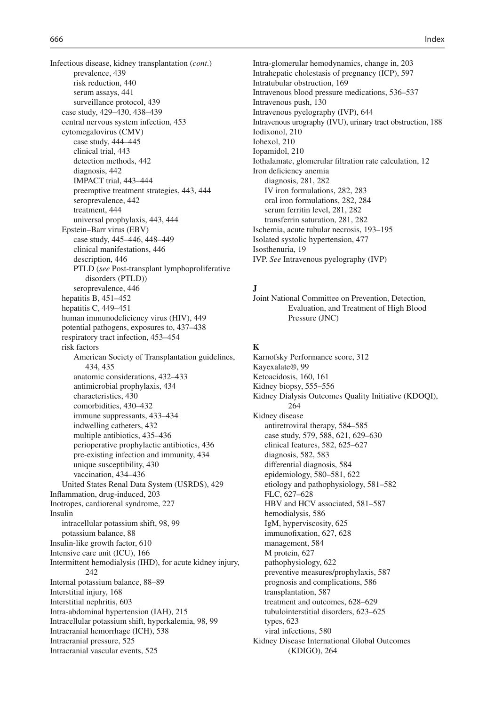Infectious disease, kidney transplantation (*cont*.) prevalence, 439 risk reduction, 440 serum assays, 441 surveillance protocol, 439 case study, 429-430, 438-439 central nervous system infection, 453 cytomegalovirus (CMV) case study, 444-445 clinical trial, 443 detection methods,  $442$ diagnosis, 442 IMPACT trial, 443-444 preemptive treatment strategies , 443, 444 seroprevalence, 442 treatment, 444 universal prophylaxis , 443, 444 Epstein–Barr virus (EBV) case study, 445–446, 448–449 clinical manifestations, 446 description, 446 PTLD ( *see* Post-transplant lymphoproliferative disorders (PTLD)) seroprevalence, 446 hepatitis B,  $451-452$ hepatitis C,  $449-451$ human immunodeficiency virus (HIV), 449 potential pathogens, exposures to, 437-438 respiratory tract infection, 453-454 risk factors American Society of Transplantation guidelines, 434, 435 anatomic considerations, 432-433 antimicrobial prophylaxis , 434 characteristics , 430 comorbidities, 430-432 immune suppressants, 433–434 indwelling catheters, 432 multiple antibiotics , 435–436 perioperative prophylactic antibiotics , 436 pre-existing infection and immunity , 434 unique susceptibility, 430 vaccination, 434-436 United States Renal Data System (USRDS), 429 Inflammation, drug-induced, 203 Inotropes, cardiorenal syndrome, 227 Insulin intracellular potassium shift, 98, 99 potassium balance, 88 Insulin-like growth factor, 610 Intensive care unit (ICU), 166 Intermittent hemodialysis (IHD), for acute kidney injury, 242 Internal potassium balance, 88-89 Interstitial injury, 168 Interstitial nephritis, 603 Intra-abdominal hypertension (IAH), 215 Intracellular potassium shift, hyperkalemia , 98, 99 Intracranial hemorrhage (ICH), 538 Intracranial pressure, 525 Intracranial vascular events, 525

Intra-glomerular hemodynamics, change in, 203 Intrahepatic cholestasis of pregnancy (ICP), 597 Intratubular obstruction, 169 Intravenous blood pressure medications, 536–537 Intravenous push, 130 Intravenous pyelography (IVP), 644 Intravenous urography (IVU), urinary tract obstruction, 188 Iodixonol, 210 Iohexol, 210 Iopamidol, 210 Iothalamate, glomerular filtration rate calculation, 12 Iron deficiency anemia diagnosis, 281, 282 IV iron formulations, 282, 283 oral iron formulations , 282, 284 serum ferritin level, 281, 282 transferrin saturation, 281, 282 Ischemia, acute tubular necrosis, 193-195 Isolated systolic hypertension, 477 Isosthenuria, 19 IVP. *See* Intravenous pyelography (IVP)

### $\mathbf{J}$

 Joint National Committee on Prevention, Detection, Evaluation, and Treatment of High Blood Pressure (JNC)

# **K**

Karnofsky Performance score, 312 Kavexalate®, 99 Ketoacidosis, 160, 161 Kidney biopsy, 555–556 Kidney Dialysis Outcomes Quality Initiative (KDOQI), 264 Kidney disease antiretroviral therapy, 584–585 case study, 579, 588, 621, 629-630 clinical features, 582, 625-627 diagnosis, 582, 583 differential diagnosis, 584 epidemiology , 580–581, 622 etiology and pathophysiology , 581–582 FLC, 627-628 HBV and HCV associated, 581-587 hemodialysis, 586 IgM, hyperviscosity, 625 immuno fixation, 627, 628 management, 584 M protein, 627 pathophysiology, 622 preventive measures/prophylaxis, 587 prognosis and complications, 586 transplantation, 587 treatment and outcomes, 628-629 tubulointerstitial disorders, 623-625 types, 623 viral infections, 580 Kidney Disease International Global Outcomes (KDIGO), 264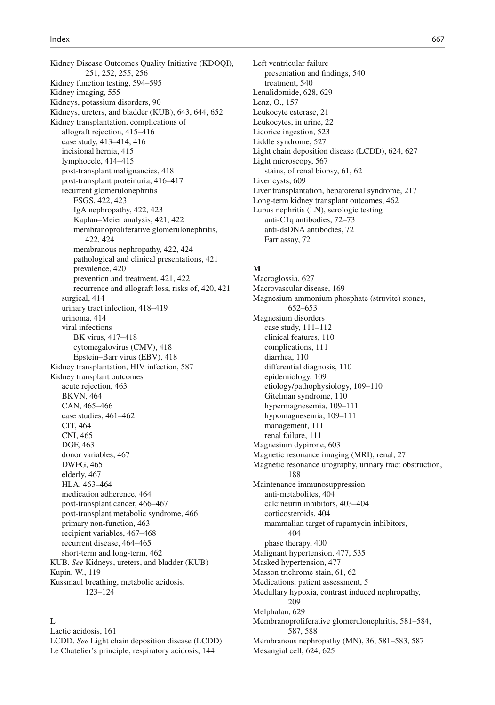Kidney Disease Outcomes Quality Initiative (KDOQI), 251, 252, 255, 256 Kidney function testing, 594-595 Kidney imaging, 555 Kidneys, potassium disorders, 90 Kidneys, ureters, and bladder (KUB), 643, 644, 652 Kidney transplantation, complications of allograft rejection, 415-416 case study, 413-414, 416 incisional hernia, 415 lymphocele, 414-415 post-transplant malignancies, 418 post-transplant proteinuria, 416-417 recurrent glomerulonephritis FSGS , 422, 423 IgA nephropathy, 422, 423 Kaplan–Meier analysis , 421, 422 membranoproliferative glomerulonephritis, 422, 424 membranous nephropathy, 422, 424 pathological and clinical presentations, 421 prevalence, 420 prevention and treatment, 421, 422 recurrence and allograft loss, risks of, 420, 421 surgical, 414 urinary tract infection, 418-419 urinoma, 414 viral infections BK virus, 417-418 cytomegalovirus (CMV), 418 Epstein-Barr virus (EBV), 418 Kidney transplantation, HIV infection, 587 Kidney transplant outcomes acute rejection, 463 **BKVN, 464** CAN, 465-466 case studies, 461-462 CIT, 464 CNI, 465 DGF, 463 donor variables, 467 DWFG, 465 elderly, 467 HLA, 463-464 medication adherence , 464 post-transplant cancer, 466-467 post-transplant metabolic syndrome, 466 primary non-function, 463 recipient variables, 467-468 recurrent disease, 464–465 short-term and long-term, 462 KUB. *See* Kidneys, ureters, and bladder (KUB) Kupin, W. , 119 Kussmaul breathing, metabolic acidosis, 123–124

# $\mathbf{L}$

Lactic acidosis, 161 LCDD. *See* Light chain deposition disease (LCDD) Le Chatelier's principle, respiratory acidosis, 144

 Left ventricular failure presentation and findings, 540 treatment, 540 Lenalidomide, 628, 629 Lenz, O. , 157 Leukocyte esterase, 21 Leukocytes, in urine, 22 Licorice ingestion, 523 Liddle syndrome, 527 Light chain deposition disease (LCDD), 624, 627 Light microscopy, 567 stains, of renal biopsy, 61, 62 Liver cysts, 609 Liver transplantation, hepatorenal syndrome, 217 Long-term kidney transplant outcomes, 462 Lupus nephritis (LN), serologic testing anti-C1q antibodies, 72–73 anti-dsDNA antibodies, 72 Farr assay, 72

# **M**

Macroglossia, 627 Macrovascular disease, 169 Magnesium ammonium phosphate (struvite) stones , 652–653 Magnesium disorders case study,  $111-112$ clinical features, 110 complications, 111 diarrhea, 110 differential diagnosis, 110 epidemiology, 109 etiology/pathophysiology , 109–110 Gitelman syndrome, 110 hypermagnesemia, 109-111 hypomagnesemia, 109-111 management, 111 renal failure, 111 Magnesium dypirone, 603 Magnetic resonance imaging (MRI), renal, 27 Magnetic resonance urography, urinary tract obstruction, 188 Maintenance immunosuppression anti-metabolites, 404 calcineurin inhibitors, 403-404 corticosteroids, 404 mammalian target of rapamycin inhibitors, 404 phase therapy, 400 Malignant hypertension, 477, 535 Masked hypertension, 477 Masson trichrome stain, 61, 62 Medications, patient assessment, 5 Medullary hypoxia, contrast induced nephropathy, 209 Melphalan, 629 Membranoproliferative glomerulonephritis, 581-584, 587, 588 Membranous nephropathy (MN), 36, 581-583, 587

Mesangial cell, 624, 625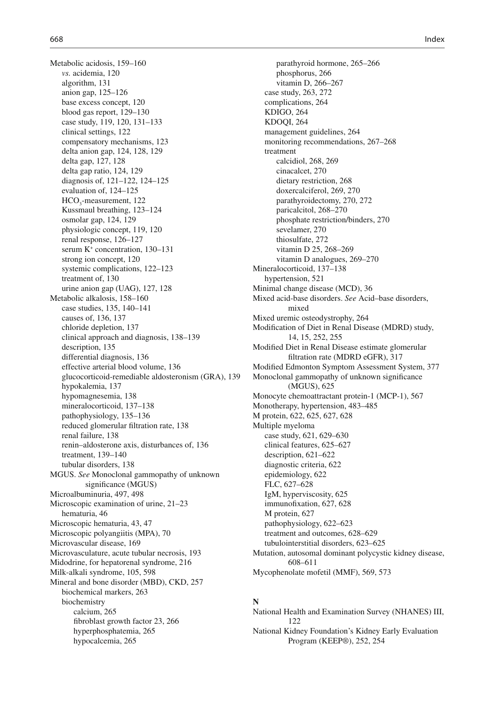Metabolic acidosis, 159-160 vs. acidemia, 120 algorithm, 131 anion gap, 125-126 base excess concept, 120 blood gas report, 129-130 case study, 119, 120, 131-133 clinical settings, 122 compensatory mechanisms, 123 delta anion gap, 124, 128, 129 delta gap, 127, 128 delta gap ratio, 124, 129 diagnosis of, 121-122, 124-125 evaluation of, 124-125  $HCO<sub>3</sub>$ -measurement, 122 Kussmaul breathing, 123-124 osmolar gap, 124, 129 physiologic concept, 119, 120 renal response, 126-127 serum K<sup>+</sup> concentration, 130-131 strong ion concept, 120 systemic complications, 122-123 treatment of, 130 urine anion gap (UAG), 127, 128 Metabolic alkalosis, 158-160 case studies, 135, 140-141 causes of, 136, 137 chloride depletion, 137 clinical approach and diagnosis , 138–139 description, 135 differential diagnosis, 136 effective arterial blood volume, 136 glucocorticoid-remediable aldosteronism (GRA), 139 hypokalemia, 137 hypomagnesemia, 138 mineralocorticoid, 137-138 pathophysiology, 135–136 reduced glomerular filtration rate, 138 renal failure. 138 renin-aldosterone axis, disturbances of, 136 treatment, 139-140 tubular disorders, 138 MGUS. *See* Monoclonal gammopathy of unknown significance (MGUS) Microalbuminuria, 497, 498 Microscopic examination of urine, 21-23 hematuria, 46 Microscopic hematuria, 43, 47 Microscopic polyangiitis (MPA), 70 Microvascular disease, 169 Microvasculature, acute tubular necrosis, 193 Midodrine, for hepatorenal syndrome, 216 Milk-alkali syndrome, 105, 598 Mineral and bone disorder (MBD), CKD, 257 biochemical markers, 263 biochemistry calcium, 265 fibroblast growth factor 23, 266 hyperphosphatemia, 265 hypocalcemia, 265

parathyroid hormone, 265-266 phosphorus, 266 vitamin D, 266-267 case study, 263, 272 complications, 264 KDIGO, 264 KDOQI, 264 management guidelines, 264 monitoring recommendations, 267-268 treatment calcidiol, 268, 269 cinacalcet, 270 dietary restriction, 268 doxercalciferol, 269, 270 parathyroidectomy, 270, 272 paricalcitol, 268-270 phosphate restriction/binders, 270 sevelamer, 270 thiosulfate, 272 vitamin D 25, 268-269 vitamin D analogues, 269-270 Mineralocorticoid, 137-138 hypertension, 521 Minimal change disease (MCD), 36 Mixed acid-base disorders. *See* Acid–base disorders, mixed Mixed uremic osteodystrophy, 264 Modification of Diet in Renal Disease (MDRD) study, 14, 15, 252, 255 Modified Diet in Renal Disease estimate glomerular filtration rate (MDRD eGFR), 317 Modified Edmonton Symptom Assessment System, 377 Monoclonal gammopathy of unknown significance (MGUS), 625 Monocyte chemoattractant protein-1 (MCP-1), 567 Monotherapy, hypertension, 483-485 M protein, 622, 625, 627, 628 Multiple myeloma case study, 621, 629-630 clinical features, 625-627 description, 621–622 diagnostic criteria, 622 epidemiology, 622 FLC, 627-628 IgM, hyperviscosity, 625 immuno fixation, 627, 628 M protein, 627 pathophysiology, 622-623 treatment and outcomes, 628-629 tubulointerstitial disorders, 623–625 Mutation, autosomal dominant polycystic kidney disease, 608–611 Mycophenolate mofetil (MMF), 569, 573

# **N**

 National Health and Examination Survey (NHANES) III , 122 National Kidney Foundation's Kidney Early Evaluation Program (KEEP®), 252, 254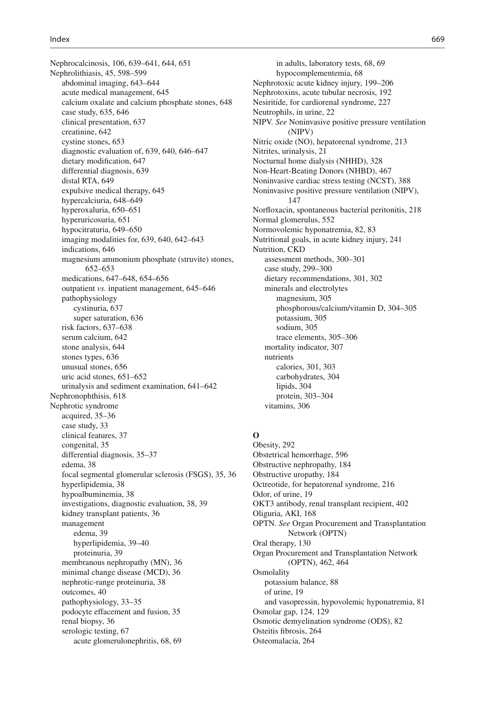Nephrocalcinosis , 106, 639–641, 644, 651 Nephrolithiasis , 45, 598–599 abdominal imaging, 643-644 acute medical management, 645 calcium oxalate and calcium phosphate stones, 648 case study, 635, 646 clinical presentation, 637 creatinine, 642 cystine stones, 653 diagnostic evaluation of, 639, 640, 646-647 dietary modification, 647 differential diagnosis, 639 distal RTA, 649 expulsive medical therapy, 645 hypercalciuria, 648-649 hyperoxaluria, 650–651 hyperuricosuria, 651 hypocitraturia, 649-650 imaging modalities for, 639, 640, 642-643 indications, 646 magnesium ammonium phosphate (struvite) stones , 652–653 medications , 647–648, 654–656 outpatient *vs.* inpatient management, 645–646 pathophysiology cystinuria, 637 super saturation, 636 risk factors, 637-638 serum calcium, 642 stone analysis, 644 stones types, 636 unusual stones, 656 uric acid stones, 651-652 urinalysis and sediment examination, 641-642 Nephronophthisis, 618 Nephrotic syndrome acquired, 35-36 case study, 33 clinical features, 37 congenital, 35 differential diagnosis, 35–37 edema, 38 focal segmental glomerular sclerosis (FSGS), 35, 36 hyperlipidemia, 38 hypoalbuminemia, 38 investigations, diagnostic evaluation, 38, 39 kidney transplant patients, 36 management edema, 39 hyperlipidemia, 39-40 proteinuria, 39 membranous nephropathy (MN), 36 minimal change disease (MCD), 36 nephrotic-range proteinuria, 38 outcomes, 40 pathophysiology, 33-35 podocyte effacement and fusion, 35 renal biopsy, 36 serologic testing, 67 acute glomerulonephritis, 68, 69

in adults, laboratory tests, 68, 69 hypocomplementemia, 68 Nephrotoxic acute kidney injury, 199-206 Nephrotoxins, acute tubular necrosis, 192 Nesiritide, for cardiorenal syndrome, 227 Neutrophils, in urine, 22 NIPV. *See* Noninvasive positive pressure ventilation (NIPV) Nitric oxide (NO), hepatorenal syndrome, 213 Nitrites, urinalysis, 21 Nocturnal home dialysis (NHHD), 328 Non-Heart-Beating Donors (NHBD), 467 Noninvasive cardiac stress testing (NCST), 388 Noninvasive positive pressure ventilation (NIPV), 147 Norfloxacin, spontaneous bacterial peritonitis, 218 Normal glomerulus, 552 Normovolemic hyponatremia, 82, 83 Nutritional goals, in acute kidney injury, 241 Nutrition, CKD assessment methods, 300-301 case study, 299-300 dietary recommendations, 301, 302 minerals and electrolytes magnesium, 305 phosphorous/calcium/vitamin D, 304-305 potassium, 305 sodium, 305 trace elements, 305-306 mortality indicator, 307 nutrients calories , 301, 303 carbohydrates, 304 lipids, 304 protein, 303–304 vitamins, 306

### **O**

Obesity, 292 Obstetrical hemorrhage , 596 Obstructive nephropathy, 184 Obstructive uropathy, 184 Octreotide, for hepatorenal syndrome, 216 Odor, of urine, 19 OKT3 antibody, renal transplant recipient, 402 Oliguria, AKI, 168 OPTN. *See* Organ Procurement and Transplantation Network (OPTN) Oral therapy, 130 Organ Procurement and Transplantation Network (OPTN) , 462, 464 **Osmolality** potassium balance, 88 of urine, 19 and vasopressin, hypovolemic hyponatremia , 81 Osmolar gap, 124, 129 Osmotic demyelination syndrome (ODS), 82 Osteitis fibrosis, 264 Osteomalacia, 264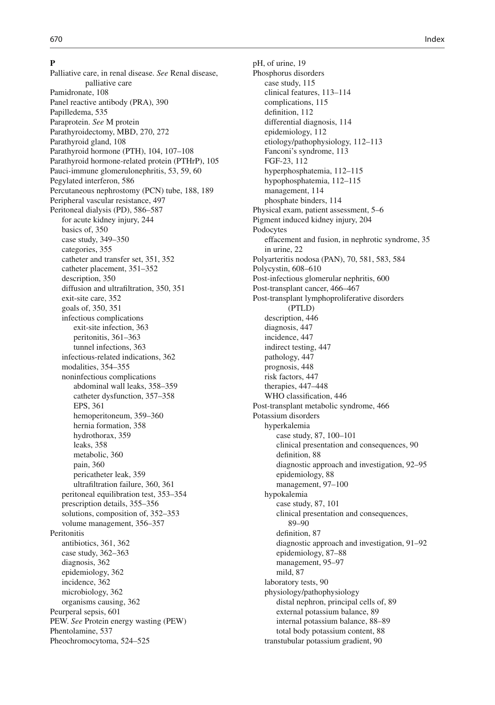### **P**

 Palliative care, in renal disease. *See* Renal disease, palliative care Pamidronate, 108 Panel reactive antibody (PRA), 390 Papilledema, 535 Paraprotein. *See* M protein Parathyroidectomy, MBD, 270, 272 Parathyroid gland, 108 Parathyroid hormone (PTH), 104, 107-108 Parathyroid hormone-related protein (PTHrP),  $105$ Pauci-immune glomerulonephritis, 53, 59, 60 Pegylated interferon, 586 Percutaneous nephrostomy (PCN) tube, 188, 189 Peripheral vascular resistance, 497 Peritoneal dialysis (PD), 586-587 for acute kidney injury, 244 basics of, 350 case study, 349-350 categories, 355 catheter and transfer set, 351, 352 catheter placement, 351-352 description, 350 diffusion and ultrafiltration, 350, 351 exit-site care, 352 goals of, 350, 351 infectious complications exit-site infection, 363 peritonitis, 361–363 tunnel infections, 363 infectious-related indications, 362 modalities, 354-355 noninfectious complications abdominal wall leaks, 358-359 catheter dysfunction, 357-358 EPS, 361 hemoperitoneum, 359-360 hernia formation, 358 hydrothorax, 359 leaks, 358 metabolic, 360 pain, 360 pericatheter leak, 359 ultrafiltration failure, 360, 361 peritoneal equilibration test, 353-354 prescription details, 355-356 solutions, composition of, 352–353 volume management, 356-357 Peritonitis antibiotics, 361, 362 case study, 362-363 diagnosis, 362 epidemiology, 362 incidence, 362 microbiology, 362 organisms causing, 362 Peurperal sepsis, 601 PEW. *See* Protein energy wasting (PEW) Phentolamine, 537 Pheochromocytoma, 524-525

pH, of urine, 19 Phosphorus disorders case study, 115 clinical features, 113-114 complications, 115 definition, 112 differential diagnosis, 114 epidemiology, 112 etiology/pathophysiology, 112-113 Fanconi's syndrome, 113 FGF-23 , 112 hyperphosphatemia, 112–115 hypophosphatemia, 112-115 management, 114 phosphate binders, 114 Physical exam, patient assessment, 5–6 Pigment induced kidney injury, 204 Podocytes effacement and fusion, in nephrotic syndrome, 35 in urine, 22 Polyarteritis nodosa (PAN), 70, 581, 583, 584 Polycystin, 608-610 Post-infectious glomerular nephritis, 600 Post-transplant cancer, 466-467 Post-transplant lymphoproliferative disorders (PTLD) description, 446 diagnosis, 447 incidence, 447 indirect testing, 447 pathology, 447 prognosis, 448 risk factors, 447 therapies, 447-448 WHO classification, 446 Post-transplant metabolic syndrome, 466 Potassium disorders hyperkalemia case study, 87, 100-101 clinical presentation and consequences, 90 definition, 88 diagnostic approach and investigation, 92-95 epidemiology, 88 management, 97-100 hypokalemia case study, 87, 101 clinical presentation and consequences , 89–90 definition, 87 diagnostic approach and investigation, 91-92 epidemiology, 87-88 management, 95-97 mild, 87 laboratory tests, 90 physiology/pathophysiology distal nephron, principal cells of, 89 external potassium balance, 89 internal potassium balance, 88-89 total body potassium content, 88 transtubular potassium gradient, 90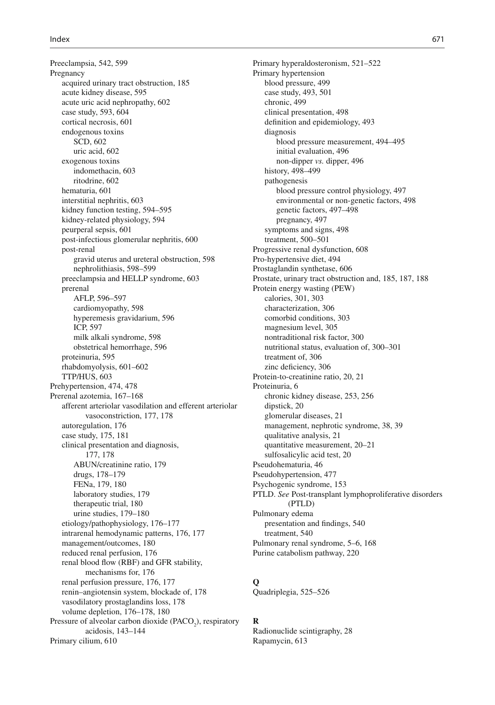Preeclampsia, 542, 599 Pregnancy acquired urinary tract obstruction, 185 acute kidney disease, 595 acute uric acid nephropathy, 602 case study, 593, 604 cortical necrosis, 601 endogenous toxins SCD, 602 uric acid, 602 exogenous toxins indomethacin, 603 ritodrine, 602 hematuria, 601 interstitial nephritis, 603 kidney function testing, 594–595 kidney-related physiology, 594 peurperal sepsis, 601 post-infectious glomerular nephritis, 600 post-renal gravid uterus and ureteral obstruction, 598 nephrolithiasis , 598–599 preeclampsia and HELLP syndrome, 603 prerenal AFLP, 596-597 cardiomyopathy, 598 hyperemesis gravidarium, 596 ICP, 597 milk alkali syndrome, 598 obstetrical hemorrhage, 596 proteinuria, 595 rhabdomyolysis, 601-602 TTP/HUS, 603 Prehypertension, 474, 478 Prerenal azotemia, 167–168 afferent arteriolar vasodilation and efferent arteriolar vasoconstriction, 177, 178 autoregulation, 176 case study, 175, 181 clinical presentation and diagnosis , 177, 178 ABUN/creatinine ratio, 179 drugs, 178-179 FENa, 179, 180 laboratory studies, 179 therapeutic trial, 180 urine studies, 179-180 etiology/pathophysiology , 176–177 intrarenal hemodynamic patterns, 176, 177 management/outcomes, 180 reduced renal perfusion, 176 renal blood flow (RBF) and GFR stability, mechanisms for, 176 renal perfusion pressure, 176, 177 renin-angiotensin system, blockade of, 178 vasodilatory prostaglandins loss, 178 volume depletion, 176-178, 180 Pressure of alveolar carbon dioxide (PACO<sub>2</sub>), respiratory acidosis , 143–144 Primary cilium, 610

Primary hyperaldosteronism, 521-522 Primary hypertension blood pressure, 499 case study, 493, 501 chronic, 499 clinical presentation, 498 definition and epidemiology, 493 diagnosis blood pressure measurement, 494-495 initial evaluation, 496 non-dipper *vs.* dipper, 496 history, 498-499 pathogenesis blood pressure control physiology , 497 environmental or non-genetic factors, 498 genetic factors, 497-498 pregnancy, 497 symptoms and signs, 498 treatment, 500-501 Progressive renal dysfunction, 608 Pro-hypertensive diet, 494 Prostaglandin synthetase, 606 Prostate, urinary tract obstruction and, 185, 187, 188 Protein energy wasting (PEW) calories, 301, 303 characterization, 306 comorbid conditions, 303 magnesium level, 305 nontraditional risk factor, 300 nutritional status, evaluation of, 300-301 treatment of, 306 zinc deficiency, 306 Protein-to-creatinine ratio, 20, 21 Proteinuria, 6 chronic kidney disease, 253, 256 dipstick, 20 glomerular diseases, 21 management, nephrotic syndrome, 38, 39 qualitative analysis, 21 quantitative measurement, 20-21 sulfosalicylic acid test, 20 Pseudohematuria, 46 Pseudohypertension, 477 Psychogenic syndrome, 153 PTLD. *See* Post-transplant lymphoproliferative disorders (PTLD) Pulmonary edema presentation and findings, 540 treatment, 540 Pulmonary renal syndrome, 5–6, 168 Purine catabolism pathway, 220

# **Q**

Quadriplegia, 525-526

### **R**

Radionuclide scintigraphy, 28 Rapamycin, 613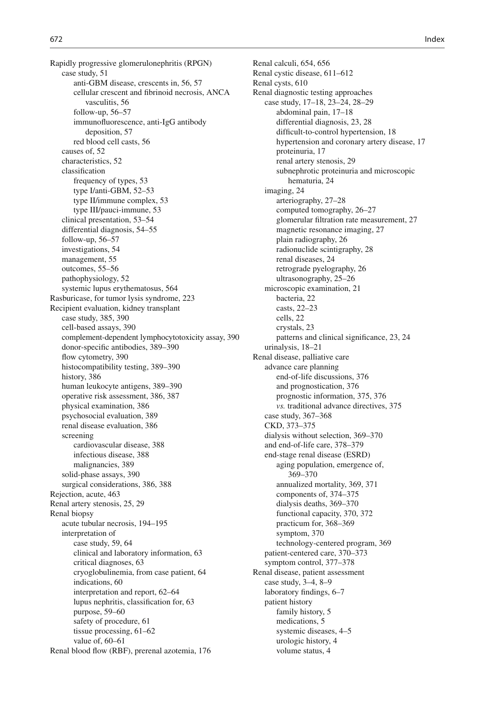Rapidly progressive glomerulonephritis (RPGN) case study, 51 anti-GBM disease, crescents in, 56, 57 cellular crescent and fibrinoid necrosis, ANCA vasculitis , 56 follow-up,  $56-57$ immunofluorescence, anti-IgG antibody deposition, 57 red blood cell casts, 56 causes of, 52 characteristics, 52 classification frequency of types, 53 type I/anti-GBM, 52-53 type II/immune complex, 53 type III/pauci-immune, 53 clinical presentation, 53–54 differential diagnosis, 54-55 follow-up,  $56-57$ investigations, 54 management, 55 outcomes, 55-56 pathophysiology, 52 systemic lupus erythematosus, 564 Rasburicase, for tumor lysis syndrome, 223 Recipient evaluation, kidney transplant case study, 385, 390 cell-based assays, 390 complement-dependent lymphocytotoxicity assay, 390 donor-specific antibodies, 389-390 flow cytometry, 390 histocompatibility testing, 389–390 history, 386 human leukocyte antigens, 389–390 operative risk assessment, 386, 387 physical examination, 386 psychosocial evaluation, 389 renal disease evaluation, 386 screening cardiovascular disease, 388 infectious disease, 388 malignancies, 389 solid-phase assays, 390 surgical considerations, 386, 388 Rejection, acute, 463 Renal artery stenosis, 25, 29 Renal biopsy acute tubular necrosis, 194-195 interpretation of case study, 59, 64 clinical and laboratory information, 63 critical diagnoses, 63 cryoglobulinemia, from case patient, 64 indications, 60 interpretation and report, 62–64 lupus nephritis, classification for, 63 purpose, 59-60 safety of procedure, 61 tissue processing,  $61-62$ value of,  $60-61$ Renal blood flow (RBF), prerenal azotemia, 176

Renal calculi, 654, 656 Renal cystic disease, 611–612 Renal cysts, 610 Renal diagnostic testing approaches case study, 17–18, 23–24, 28–29 abdominal pain, 17-18 differential diagnosis, 23, 28 difficult-to-control hypertension, 18 hypertension and coronary artery disease, 17 proteinuria, 17 renal artery stenosis, 29 subnephrotic proteinuria and microscopic hematuria, 24 imaging, 24 arteriography, 27-28 computed tomography, 26-27 glomerular filtration rate measurement, 27 magnetic resonance imaging, 27 plain radiography, 26 radionuclide scintigraphy, 28 renal diseases, 24 retrograde pyelography, 26 ultrasonography, 25–26 microscopic examination, 21 bacteria, 22 casts, 22-23 cells, 22 crystals, 23 patterns and clinical significance, 23, 24 urinalysis, 18-21 Renal disease, palliative care advance care planning end-of-life discussions, 376 and prognostication, 376 prognostic information, 375, 376 *vs.* traditional advance directives, 375 case study, 367-368 CKD, 373-375 dialysis without selection, 369-370 and end-of-life care, 378-379 end-stage renal disease (ESRD) aging population, emergence of, 369–370 annualized mortality, 369, 371 components of, 374-375 dialysis deaths, 369-370 functional capacity, 370, 372 practicum for, 368-369 symptom, 370 technology-centered program, 369 patient-centered care, 370-373 symptom control, 377-378 Renal disease, patient assessment case study, 3-4, 8-9 laboratory findings, 6-7 patient history family history, 5 medications, 5 systemic diseases,  $4-5$ urologic history, 4 volume status, 4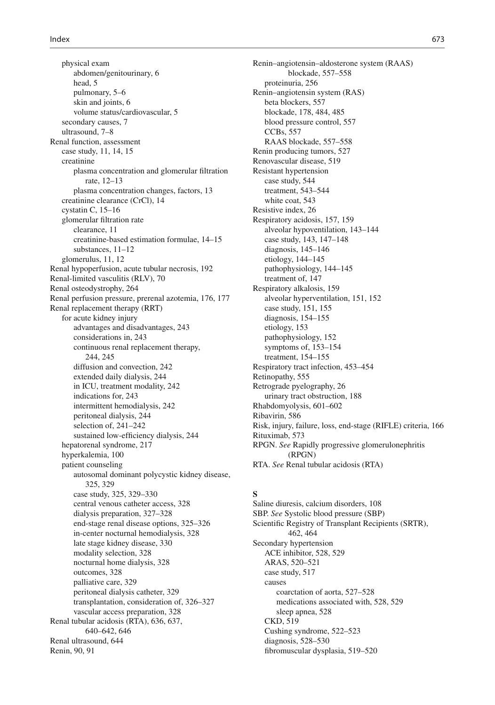physical exam abdomen/genitourinary, 6 head, 5 pulmonary, 5–6 skin and joints, 6 volume status/cardiovascular, 5 secondary causes, 7 ultrasound, 7-8 Renal function, assessment case study, 11, 14, 15 creatinine plasma concentration and glomerular filtration rate, 12-13 plasma concentration changes, factors, 13 creatinine clearance (CrCl), 14 cystatin C,  $15-16$ glomerular filtration rate clearance, 11 creatinine-based estimation formulae, 14-15 substances, 11-12 glomerulus, 11, 12 Renal hypoperfusion, acute tubular necrosis, 192 Renal-limited vasculitis (RLV), 70 Renal osteodystrophy, 264 Renal perfusion pressure, prerenal azotemia, 176, 177 Renal replacement therapy (RRT) for acute kidney injury advantages and disadvantages , 243 considerations in, 243 continuous renal replacement therapy, 244, 245 diffusion and convection, 242 extended daily dialysis, 244 in ICU, treatment modality, 242 indications for, 243 intermittent hemodialysis, 242 peritoneal dialysis, 244 selection of,  $241-242$ sustained low-efficiency dialysis, 244 hepatorenal syndrome, 217 hyperkalemia, 100 patient counseling autosomal dominant polycystic kidney disease, 325, 329 case study, 325, 329-330 central venous catheter access, 328 dialysis preparation, 327–328 end-stage renal disease options, 325–326 in-center nocturnal hemodialysis, 328 late stage kidney disease, 330 modality selection, 328 nocturnal home dialysis, 328 outcomes, 328 palliative care, 329 peritoneal dialysis catheter, 329 transplantation, consideration of, 326–327 vascular access preparation, 328 Renal tubular acidosis (RTA), 636, 637, 640–642, 646 Renal ultrasound, 644 Renin, 90, 91

 Renin–angiotensin–aldosterone system (RAAS) blockade, 557-558 proteinuria, 256 Renin–angiotensin system (RAS) beta blockers, 557 blockade, 178, 484, 485 blood pressure control, 557 CCB<sub>s</sub>, 557 RAAS blockade, 557-558 Renin producing tumors, 527 Renovascular disease, 519 Resistant hypertension case study, 544 treatment, 543-544 white coat, 543 Resistive index, 26 Respiratory acidosis, 157, 159 alveolar hypoventilation, 143-144 case study, 143, 147-148 diagnosis,  $145-146$ etiology, 144-145 pathophysiology, 144-145 treatment of, 147 Respiratory alkalosis, 159 alveolar hyperventilation, 151, 152 case study, 151, 155 diagnosis, 154-155 etiology, 153 pathophysiology, 152 symptoms of,  $153-154$ treatment, 154-155 Respiratory tract infection, 453-454 Retinopathy, 555 Retrograde pyelography, 26 urinary tract obstruction, 188 Rhabdomyolysis , 601–602 Ribavirin, 586 Risk, injury, failure, loss, end-stage (RIFLE) criteria, 166 Rituximab, 573 RPGN. *See* Rapidly progressive glomerulonephritis (RPGN) RTA. *See* Renal tubular acidosis (RTA)

# **S**

Saline diuresis, calcium disorders, 108 SBP. *See* Systolic blood pressure (SBP) Scientific Registry of Transplant Recipients (SRTR), 462, 464 Secondary hypertension ACE inhibitor, 528, 529 ARAS, 520-521 case study, 517 causes coarctation of aorta, 527-528 medications associated with, 528, 529 sleep apnea, 528 CKD, 519 Cushing syndrome, 522–523 diagnosis, 528-530 fibromuscular dysplasia, 519–520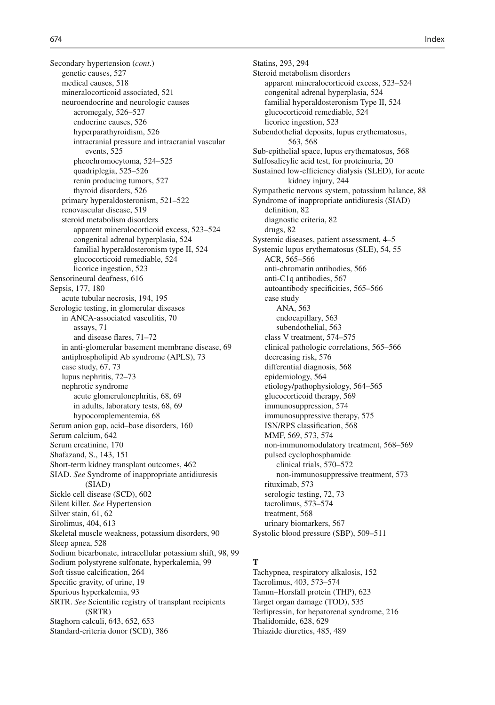Secondary hypertension (*cont*.) genetic causes, 527 medical causes, 518 mineralocorticoid associated, 521 neuroendocrine and neurologic causes acromegaly, 526-527 endocrine causes, 526 hyperparathyroidism, 526 intracranial pressure and intracranial vascular events, 525 pheochromocytoma, 524–525 quadriplegia, 525-526 renin producing tumors, 527 thyroid disorders, 526 primary hyperaldosteronism, 521-522 renovascular disease, 519 steroid metabolism disorders apparent mineralocorticoid excess, 523-524 congenital adrenal hyperplasia, 524 familial hyperaldosteronism type II, 524 glucocorticoid remediable, 524 licorice ingestion, 523 Sensorineural deafness, 616 Sepsis, 177, 180 acute tubular necrosis, 194, 195 Serologic testing, in glomerular diseases in ANCA-associated vasculitis, 70 assays, 71 and disease flares,  $71-72$ in anti-glomerular basement membrane disease, 69 antiphospholipid Ab syndrome (APLS), 73 case study, 67, 73 lupus nephritis, 72-73 nephrotic syndrome acute glomerulonephritis, 68, 69 in adults, laboratory tests, 68, 69 hypocomplementemia, 68 Serum anion gap, acid–base disorders, 160 Serum calcium, 642 Serum creatinine, 170 Shafazand, S., 143, 151 Short-term kidney transplant outcomes, 462 SIAD. *See* Syndrome of inappropriate antidiuresis (SIAD) Sickle cell disease (SCD), 602 Silent killer. *See* Hypertension Silver stain, 61, 62 Sirolimus, 404, 613 Skeletal muscle weakness, potassium disorders, 90 Sleep apnea, 528 Sodium bicarbonate, intracellular potassium shift, 98, 99 Sodium polystyrene sulfonate, hyperkalemia, 99 Soft tissue calcification, 264 Specific gravity, of urine, 19 Spurious hyperkalemia, 93 SRTR. *See* Scientific registry of transplant recipients (SRTR) Staghorn calculi, 643, 652, 653 Standard-criteria donor (SCD), 386

Statins, 293, 294 Steroid metabolism disorders apparent mineralocorticoid excess , 523–524 congenital adrenal hyperplasia, 524 familial hyperaldosteronism Type II, 524 glucocorticoid remediable, 524 licorice ingestion, 523 Subendothelial deposits, lupus erythematosus, 563, 568 Sub-epithelial space, lupus erythematosus, 568 Sulfosalicylic acid test, for proteinuria, 20 Sustained low-efficiency dialysis (SLED), for acute kidney injury, 244 Sympathetic nervous system, potassium balance, 88 Syndrome of inappropriate antidiuresis (SIAD) definition, 82 diagnostic criteria, 82 drugs, 82 Systemic diseases, patient assessment, 4-5 Systemic lupus erythematosus (SLE), 54, 55 ACR, 565-566 anti-chromatin antibodies, 566 anti-C1q antibodies, 567 autoantibody specificities, 565-566 case study ANA, 563 endocapillary, 563 subendothelial, 563 class V treatment, 574–575 clinical pathologic correlations, 565-566 decreasing risk, 576 differential diagnosis, 568 epidemiology, 564 etiology/pathophysiology , 564–565 glucocorticoid therapy, 569 immunosuppression, 574 immunosuppressive therapy, 575 ISN/RPS classification, 568 MMF, 569, 573, 574 non-immunomodulatory treatment, 568-569 pulsed cyclophosphamide clinical trials, 570-572 non-immunosuppressive treatment, 573 rituximab, 573 serologic testing, 72, 73 tacrolimus, 573-574 treatment, 568 urinary biomarkers, 567 Systolic blood pressure (SBP), 509-511

# **T**

Tachypnea, respiratory alkalosis, 152 Tacrolimus, 403, 573-574 Tamm–Horsfall protein (THP), 623 Target organ damage (TOD), 535 Terlipressin, for hepatorenal syndrome, 216 Thalidomide, 628, 629 Thiazide diuretics , 485, 489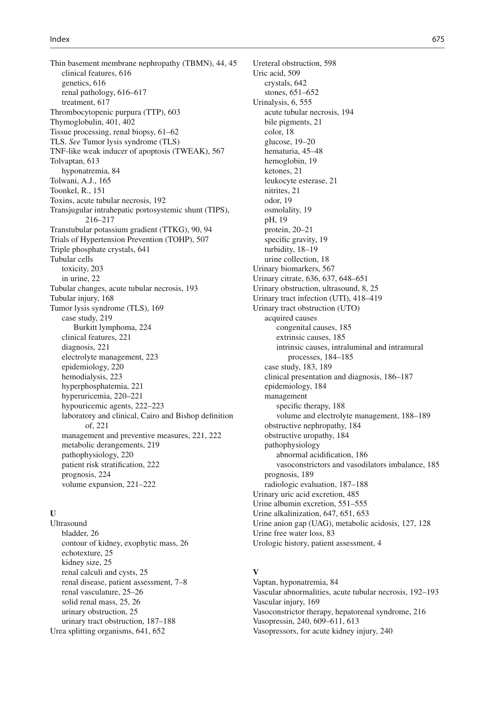Thin basement membrane nephropathy (TBMN), 44, 45 clinical features, 616 genetics, 616 renal pathology, 616–617 treatment, 617 Thrombocytopenic purpura (TTP), 603 Thymoglobulin, 401, 402 Tissue processing, renal biopsy,  $61-62$  TLS. *See* Tumor lysis syndrome (TLS) TNF-like weak inducer of apoptosis (TWEAK), 567 Tolvaptan, 613 hyponatremia, 84 Tolwani, A.J. , 165 Toonkel, R., 151 Toxins, acute tubular necrosis, 192 Transjugular intrahepatic portosystemic shunt (TIPS) , 216–217 Transtubular potassium gradient (TTKG), 90, 94 Trials of Hypertension Prevention (TOHP), 507 Triple phosphate crystals, 641 Tubular cells toxicity, 203 in urine, 22 Tubular changes, acute tubular necrosis, 193 Tubular injury, 168 Tumor lysis syndrome (TLS), 169 case study, 219 Burkitt lymphoma, 224 clinical features, 221 diagnosis, 221 electrolyte management, 223 epidemiology, 220 hemodialysis, 223 hyperphosphatemia, 221 hyperuricemia, 220-221 hypouricemic agents, 222–223 laboratory and clinical, Cairo and Bishop definition of, 221 management and preventive measures, 221, 222 metabolic derangements, 219 pathophysiology, 220 patient risk stratification, 222 prognosis, 224 volume expansion, 221-222

### $\mathbf{I}$

 Ultrasound bladder, 26 contour of kidney, exophytic mass, 26 echotexture, 25 kidney size, 25 renal calculi and cysts, 25 renal disease, patient assessment, 7-8 renal vasculature, 25-26 solid renal mass, 25, 26 urinary obstruction, 25 urinary tract obstruction, 187-188 Urea splitting organisms, 641, 652

Ureteral obstruction, 598 Uric acid, 509 crystals, 642 stones, 651–652 Urinalysis, 6, 555 acute tubular necrosis, 194 bile pigments, 21 color, 18 glucose, 19-20 hematuria, 45-48 hemoglobin, 19 ketones, 21 leukocyte esterase, 21 nitrites, 21 odor, 19 osmolality, 19 pH, 19 protein, 20-21 specific gravity, 19 turbidity, 18-19 urine collection, 18 Urinary biomarkers, 567 Urinary citrate, 636, 637, 648-651 Urinary obstruction, ultrasound, 8, 25 Urinary tract infection (UTI), 418-419 Urinary tract obstruction (UTO) acquired causes congenital causes, 185 extrinsic causes, 185 intrinsic causes, intraluminal and intramural processes , 184–185 case study, 183, 189 clinical presentation and diagnosis, 186-187 epidemiology, 184 management specific therapy, 188 volume and electrolyte management, 188-189 obstructive nephropathy, 184 obstructive uropathy, 184 pathophysiology abnormal acidification, 186 vasoconstrictors and vasodilators imbalance, 185 prognosis, 189 radiologic evaluation, 187-188 Urinary uric acid excretion, 485 Urine albumin excretion, 551-555 Urine alkalinization, 647, 651, 653 Urine anion gap (UAG), metabolic acidosis, 127, 128 Urine free water loss, 83 Urologic history, patient assessment, 4

# **V**

Vaptan, hyponatremia, 84 Vascular abnormalities, acute tubular necrosis, 192-193 Vascular injury, 169 Vasoconstrictor therapy, hepatorenal syndrome, 216 Vasopressin, 240, 609-611, 613 Vasopressors, for acute kidney injury, 240